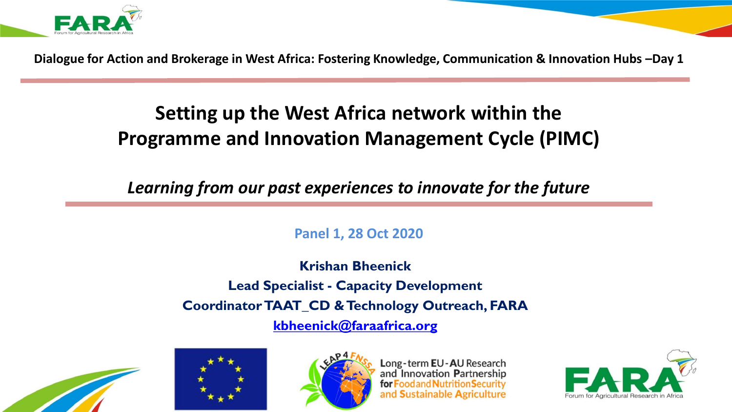

**Dialogue for Action and Brokerage in West Africa: Fostering Knowledge, Communication & Innovation Hubs –Day 1**

## **Setting up the West Africa network within the Programme and Innovation Management Cycle (PIMC)**

*Learning from our past experiences to innovate for the future*

**Panel 1, 28 Oct 2020**

**Krishan Bheenick Lead Specialist - Capacity Development Coordinator TAAT\_CD & Technology Outreach, FARA [kbheenick@faraafrica.org](mailto:kbheenick@faraafrica.org)**







Long-term EU-AU Research and Innovation Partnership oodand Nutrition Security **Sustainable Agriculture** 

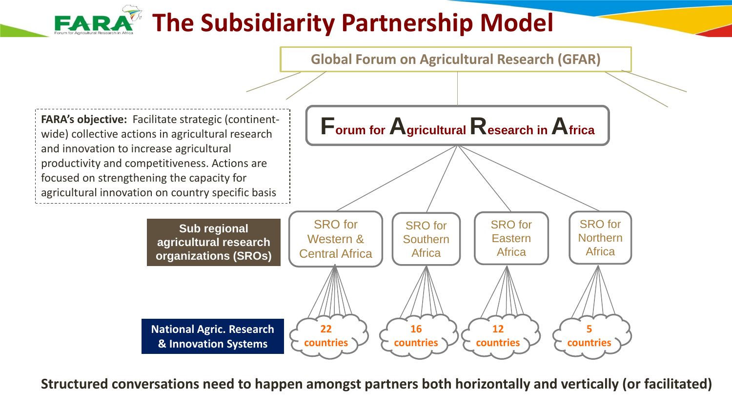# **The Subsidiarity Partnership Model**



**Structured conversations need to happen amongst partners both horizontally and vertically (or facilitated)**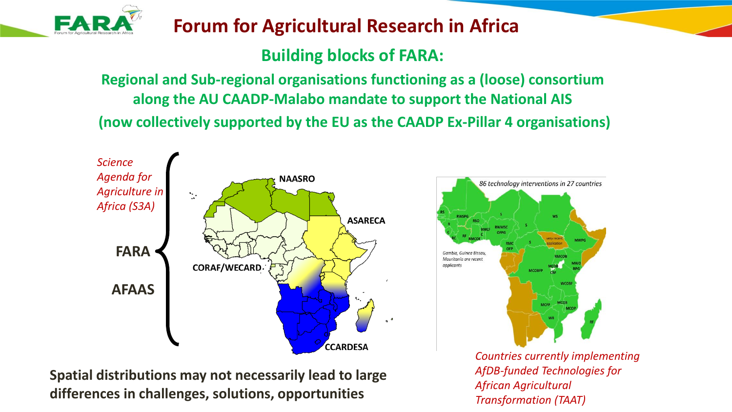

## **Forum for Agricultural Research in Africa**

## **Building blocks of FARA:**

**Regional and Sub-regional organisations functioning as a (loose) consortium along the AU CAADP-Malabo mandate to support the National AIS (now collectively supported by the EU as the CAADP Ex-Pillar 4 organisations)**



**Spatial distributions may not necessarily lead to large differences in challenges, solutions, opportunities** 



*Countries currently implementing AfDB-funded Technologies for African Agricultural Transformation (TAAT)*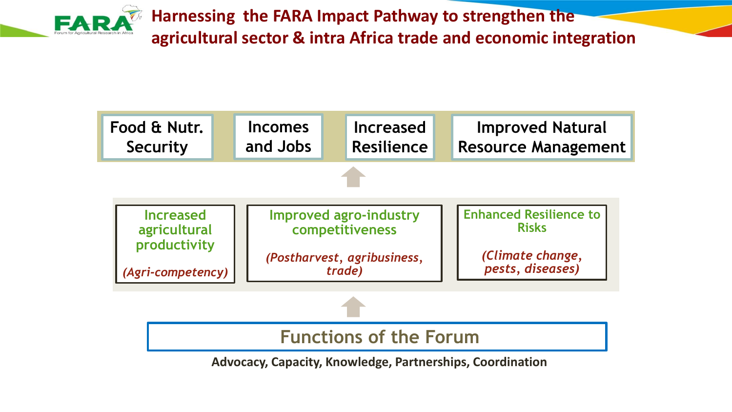**Harnessing the FARA Impact Pathway to strengthen the agricultural sector & intra Africa trade and economic integration**



**Advocacy, Capacity, Knowledge, Partnerships, Coordination**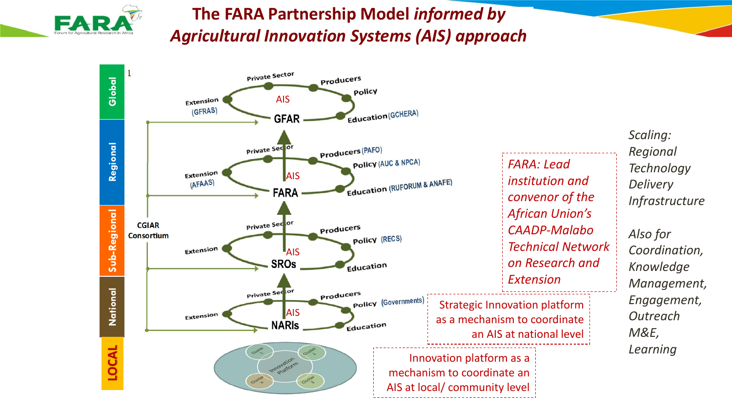

## **The FARA Partnership Model** *informed by Agricultural Innovation Systems (AIS) approach*

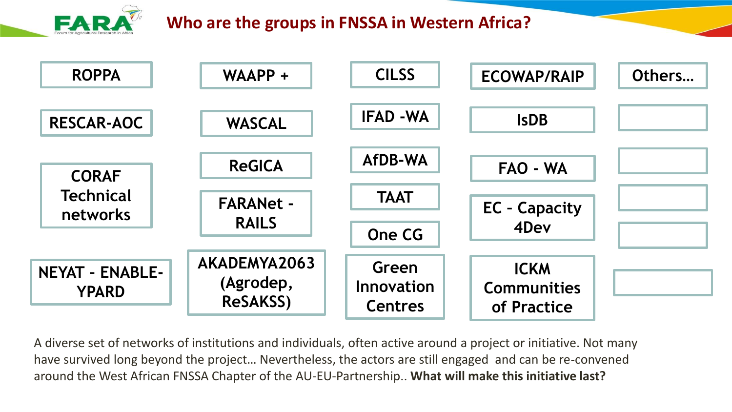

## **Who are the groups in FNSSA in Western Africa?**



A diverse set of networks of institutions and individuals, often active around a project or initiative. Not many have survived long beyond the project… Nevertheless, the actors are still engaged and can be re-convened around the West African FNSSA Chapter of the AU-EU-Partnership.. **What will make this initiative last?**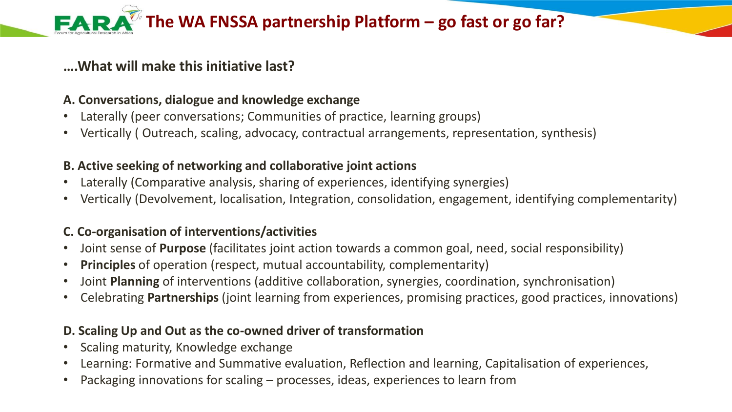#### **The WA FNSSA partnership Platform – go fast or go far? FAR**

#### **….What will make this initiative last?**

#### **A. Conversations, dialogue and knowledge exchange**

- Laterally (peer conversations; Communities of practice, learning groups)
- Vertically ( Outreach, scaling, advocacy, contractual arrangements, representation, synthesis)

#### **B. Active seeking of networking and collaborative joint actions**

- Laterally (Comparative analysis, sharing of experiences, identifying synergies)
- Vertically (Devolvement, localisation, Integration, consolidation, engagement, identifying complementarity)

#### **C. Co-organisation of interventions/activities**

- Joint sense of **Purpose** (facilitates joint action towards a common goal, need, social responsibility)
- **Principles** of operation (respect, mutual accountability, complementarity)
- Joint **Planning** of interventions (additive collaboration, synergies, coordination, synchronisation)
- Celebrating **Partnerships** (joint learning from experiences, promising practices, good practices, innovations)

#### **D. Scaling Up and Out as the co-owned driver of transformation**

- Scaling maturity, Knowledge exchange
- Learning: Formative and Summative evaluation, Reflection and learning, Capitalisation of experiences,
- Packaging innovations for scaling processes, ideas, experiences to learn from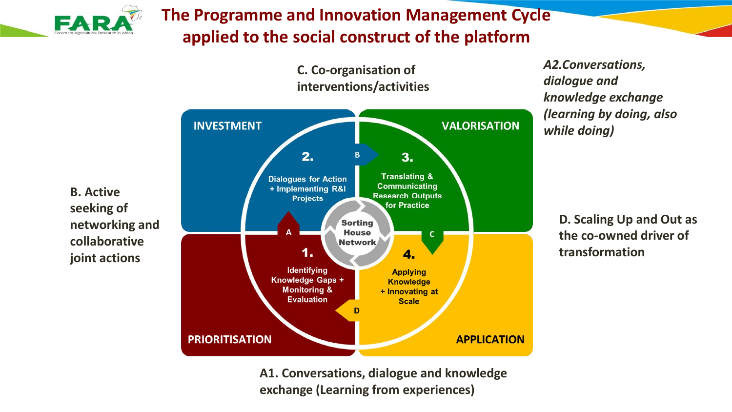

## **The Programme and Innovation Management Cycle applied to the social construct of the platform**



*A2.Conversations, dialogue and knowledge exchange (learning by doing, also while doing)*

> **D. Scaling Up and Out as the co-owned driver of transformation**

**B. Active seeking of networking and collaborative joint actions**

> **A1. Conversations, dialogue and knowledge exchange (Learning from experiences)**